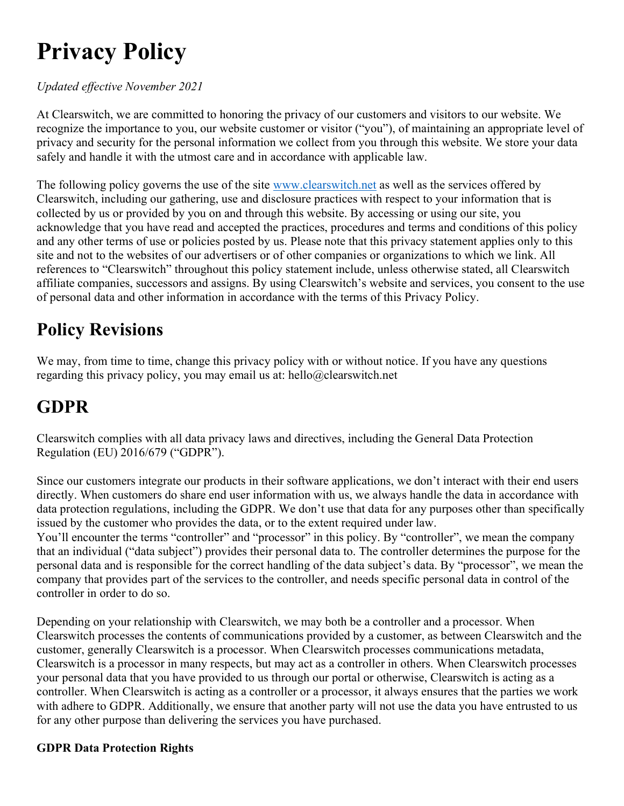# Privacy Policy

### Updated effective November 2021

At Clearswitch, we are committed to honoring the privacy of our customers and visitors to our website. We recognize the importance to you, our website customer or visitor ("you"), of maintaining an appropriate level of privacy and security for the personal information we collect from you through this website. We store your data safely and handle it with the utmost care and in accordance with applicable law.

The following policy governs the use of the site www.clearswitch.net as well as the services offered by Clearswitch, including our gathering, use and disclosure practices with respect to your information that is collected by us or provided by you on and through this website. By accessing or using our site, you acknowledge that you have read and accepted the practices, procedures and terms and conditions of this policy and any other terms of use or policies posted by us. Please note that this privacy statement applies only to this site and not to the websites of our advertisers or of other companies or organizations to which we link. All references to "Clearswitch" throughout this policy statement include, unless otherwise stated, all Clearswitch affiliate companies, successors and assigns. By using Clearswitch's website and services, you consent to the use of personal data and other information in accordance with the terms of this Privacy Policy.

# Policy Revisions

We may, from time to time, change this privacy policy with or without notice. If you have any questions regarding this privacy policy, you may email us at: hello@clearswitch.net

### GDPR

Clearswitch complies with all data privacy laws and directives, including the General Data Protection Regulation (EU) 2016/679 ("GDPR").

Since our customers integrate our products in their software applications, we don't interact with their end users directly. When customers do share end user information with us, we always handle the data in accordance with data protection regulations, including the GDPR. We don't use that data for any purposes other than specifically issued by the customer who provides the data, or to the extent required under law.

You'll encounter the terms "controller" and "processor" in this policy. By "controller", we mean the company that an individual ("data subject") provides their personal data to. The controller determines the purpose for the personal data and is responsible for the correct handling of the data subject's data. By "processor", we mean the company that provides part of the services to the controller, and needs specific personal data in control of the controller in order to do so.

Depending on your relationship with Clearswitch, we may both be a controller and a processor. When Clearswitch processes the contents of communications provided by a customer, as between Clearswitch and the customer, generally Clearswitch is a processor. When Clearswitch processes communications metadata, Clearswitch is a processor in many respects, but may act as a controller in others. When Clearswitch processes your personal data that you have provided to us through our portal or otherwise, Clearswitch is acting as a controller. When Clearswitch is acting as a controller or a processor, it always ensures that the parties we work with adhere to GDPR. Additionally, we ensure that another party will not use the data you have entrusted to us for any other purpose than delivering the services you have purchased.

### GDPR Data Protection Rights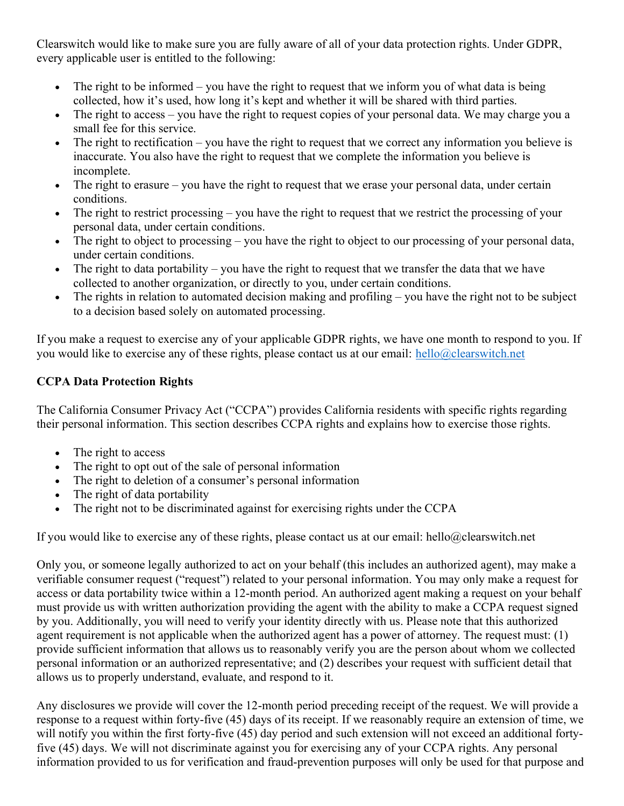Clearswitch would like to make sure you are fully aware of all of your data protection rights. Under GDPR, every applicable user is entitled to the following:

- The right to be informed you have the right to request that we inform you of what data is being collected, how it's used, how long it's kept and whether it will be shared with third parties.
- The right to access you have the right to request copies of your personal data. We may charge you a small fee for this service.
- The right to rectification you have the right to request that we correct any information you believe is inaccurate. You also have the right to request that we complete the information you believe is incomplete.
- The right to erasure you have the right to request that we erase your personal data, under certain conditions.
- The right to restrict processing you have the right to request that we restrict the processing of your personal data, under certain conditions.
- The right to object to processing you have the right to object to our processing of your personal data, under certain conditions.
- The right to data portability you have the right to request that we transfer the data that we have collected to another organization, or directly to you, under certain conditions.
- The rights in relation to automated decision making and profiling you have the right not to be subject to a decision based solely on automated processing.

If you make a request to exercise any of your applicable GDPR rights, we have one month to respond to you. If you would like to exercise any of these rights, please contact us at our email: hello@clearswitch.net

### CCPA Data Protection Rights

The California Consumer Privacy Act ("CCPA") provides California residents with specific rights regarding their personal information. This section describes CCPA rights and explains how to exercise those rights.

- The right to access
- The right to opt out of the sale of personal information
- The right to deletion of a consumer's personal information
- The right of data portability
- The right not to be discriminated against for exercising rights under the CCPA

If you would like to exercise any of these rights, please contact us at our email: hello@clearswitch.net

Only you, or someone legally authorized to act on your behalf (this includes an authorized agent), may make a verifiable consumer request ("request") related to your personal information. You may only make a request for access or data portability twice within a 12-month period. An authorized agent making a request on your behalf must provide us with written authorization providing the agent with the ability to make a CCPA request signed by you. Additionally, you will need to verify your identity directly with us. Please note that this authorized agent requirement is not applicable when the authorized agent has a power of attorney. The request must: (1) provide sufficient information that allows us to reasonably verify you are the person about whom we collected personal information or an authorized representative; and (2) describes your request with sufficient detail that allows us to properly understand, evaluate, and respond to it.

Any disclosures we provide will cover the 12-month period preceding receipt of the request. We will provide a response to a request within forty-five (45) days of its receipt. If we reasonably require an extension of time, we will notify you within the first forty-five (45) day period and such extension will not exceed an additional fortyfive (45) days. We will not discriminate against you for exercising any of your CCPA rights. Any personal information provided to us for verification and fraud-prevention purposes will only be used for that purpose and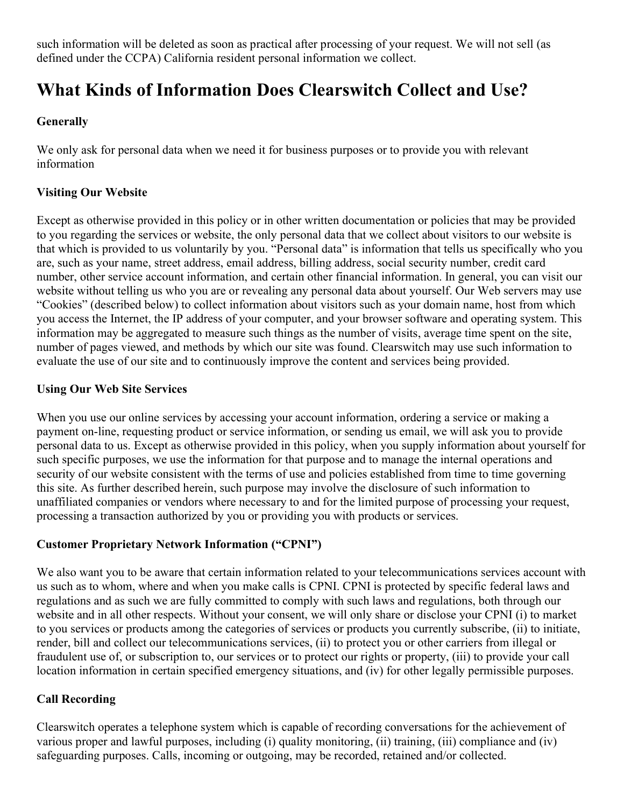such information will be deleted as soon as practical after processing of your request. We will not sell (as defined under the CCPA) California resident personal information we collect.

### What Kinds of Information Does Clearswitch Collect and Use?

#### **Generally**

We only ask for personal data when we need it for business purposes or to provide you with relevant information

#### Visiting Our Website

Except as otherwise provided in this policy or in other written documentation or policies that may be provided to you regarding the services or website, the only personal data that we collect about visitors to our website is that which is provided to us voluntarily by you. "Personal data" is information that tells us specifically who you are, such as your name, street address, email address, billing address, social security number, credit card number, other service account information, and certain other financial information. In general, you can visit our website without telling us who you are or revealing any personal data about yourself. Our Web servers may use "Cookies" (described below) to collect information about visitors such as your domain name, host from which you access the Internet, the IP address of your computer, and your browser software and operating system. This information may be aggregated to measure such things as the number of visits, average time spent on the site, number of pages viewed, and methods by which our site was found. Clearswitch may use such information to evaluate the use of our site and to continuously improve the content and services being provided.

#### Using Our Web Site Services

When you use our online services by accessing your account information, ordering a service or making a payment on-line, requesting product or service information, or sending us email, we will ask you to provide personal data to us. Except as otherwise provided in this policy, when you supply information about yourself for such specific purposes, we use the information for that purpose and to manage the internal operations and security of our website consistent with the terms of use and policies established from time to time governing this site. As further described herein, such purpose may involve the disclosure of such information to unaffiliated companies or vendors where necessary to and for the limited purpose of processing your request, processing a transaction authorized by you or providing you with products or services.

#### Customer Proprietary Network Information ("CPNI")

We also want you to be aware that certain information related to your telecommunications services account with us such as to whom, where and when you make calls is CPNI. CPNI is protected by specific federal laws and regulations and as such we are fully committed to comply with such laws and regulations, both through our website and in all other respects. Without your consent, we will only share or disclose your CPNI (i) to market to you services or products among the categories of services or products you currently subscribe, (ii) to initiate, render, bill and collect our telecommunications services, (ii) to protect you or other carriers from illegal or fraudulent use of, or subscription to, our services or to protect our rights or property, (iii) to provide your call location information in certain specified emergency situations, and (iv) for other legally permissible purposes.

#### Call Recording

Clearswitch operates a telephone system which is capable of recording conversations for the achievement of various proper and lawful purposes, including (i) quality monitoring, (ii) training, (iii) compliance and (iv) safeguarding purposes. Calls, incoming or outgoing, may be recorded, retained and/or collected.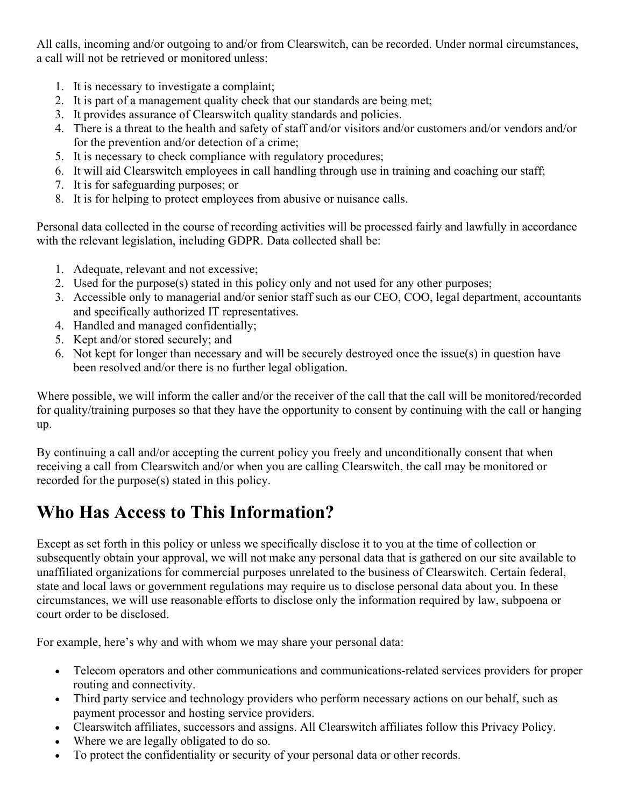All calls, incoming and/or outgoing to and/or from Clearswitch, can be recorded. Under normal circumstances, a call will not be retrieved or monitored unless:

- 1. It is necessary to investigate a complaint;
- 2. It is part of a management quality check that our standards are being met;
- 3. It provides assurance of Clearswitch quality standards and policies.
- 4. There is a threat to the health and safety of staff and/or visitors and/or customers and/or vendors and/or for the prevention and/or detection of a crime;
- 5. It is necessary to check compliance with regulatory procedures;
- 6. It will aid Clearswitch employees in call handling through use in training and coaching our staff;
- 7. It is for safeguarding purposes; or
- 8. It is for helping to protect employees from abusive or nuisance calls.

Personal data collected in the course of recording activities will be processed fairly and lawfully in accordance with the relevant legislation, including GDPR. Data collected shall be:

- 1. Adequate, relevant and not excessive;
- 2. Used for the purpose(s) stated in this policy only and not used for any other purposes;
- 3. Accessible only to managerial and/or senior staff such as our CEO, COO, legal department, accountants and specifically authorized IT representatives.
- 4. Handled and managed confidentially;
- 5. Kept and/or stored securely; and
- 6. Not kept for longer than necessary and will be securely destroyed once the issue(s) in question have been resolved and/or there is no further legal obligation.

Where possible, we will inform the caller and/or the receiver of the call that the call will be monitored/recorded for quality/training purposes so that they have the opportunity to consent by continuing with the call or hanging up.

By continuing a call and/or accepting the current policy you freely and unconditionally consent that when receiving a call from Clearswitch and/or when you are calling Clearswitch, the call may be monitored or recorded for the purpose(s) stated in this policy.

### Who Has Access to This Information?

Except as set forth in this policy or unless we specifically disclose it to you at the time of collection or subsequently obtain your approval, we will not make any personal data that is gathered on our site available to unaffiliated organizations for commercial purposes unrelated to the business of Clearswitch. Certain federal, state and local laws or government regulations may require us to disclose personal data about you. In these circumstances, we will use reasonable efforts to disclose only the information required by law, subpoena or court order to be disclosed.

For example, here's why and with whom we may share your personal data:

- Telecom operators and other communications and communications-related services providers for proper routing and connectivity.
- Third party service and technology providers who perform necessary actions on our behalf, such as payment processor and hosting service providers.
- Clearswitch affiliates, successors and assigns. All Clearswitch affiliates follow this Privacy Policy.
- Where we are legally obligated to do so.
- To protect the confidentiality or security of your personal data or other records.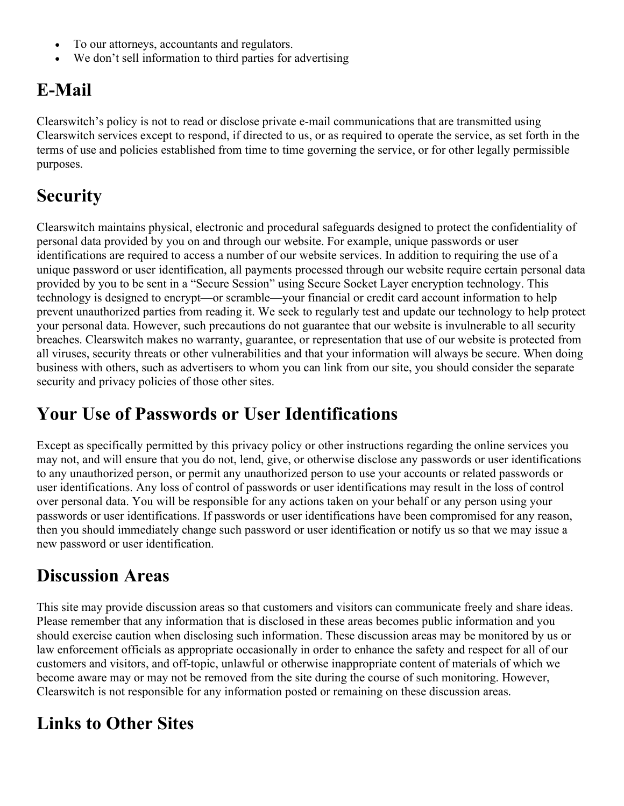- To our attorneys, accountants and regulators.
- We don't sell information to third parties for advertising

## E-Mail

Clearswitch's policy is not to read or disclose private e-mail communications that are transmitted using Clearswitch services except to respond, if directed to us, or as required to operate the service, as set forth in the terms of use and policies established from time to time governing the service, or for other legally permissible purposes.

# **Security**

Clearswitch maintains physical, electronic and procedural safeguards designed to protect the confidentiality of personal data provided by you on and through our website. For example, unique passwords or user identifications are required to access a number of our website services. In addition to requiring the use of a unique password or user identification, all payments processed through our website require certain personal data provided by you to be sent in a "Secure Session" using Secure Socket Layer encryption technology. This technology is designed to encrypt—or scramble—your financial or credit card account information to help prevent unauthorized parties from reading it. We seek to regularly test and update our technology to help protect your personal data. However, such precautions do not guarantee that our website is invulnerable to all security breaches. Clearswitch makes no warranty, guarantee, or representation that use of our website is protected from all viruses, security threats or other vulnerabilities and that your information will always be secure. When doing business with others, such as advertisers to whom you can link from our site, you should consider the separate security and privacy policies of those other sites.

### Your Use of Passwords or User Identifications

Except as specifically permitted by this privacy policy or other instructions regarding the online services you may not, and will ensure that you do not, lend, give, or otherwise disclose any passwords or user identifications to any unauthorized person, or permit any unauthorized person to use your accounts or related passwords or user identifications. Any loss of control of passwords or user identifications may result in the loss of control over personal data. You will be responsible for any actions taken on your behalf or any person using your passwords or user identifications. If passwords or user identifications have been compromised for any reason, then you should immediately change such password or user identification or notify us so that we may issue a new password or user identification.

### Discussion Areas

This site may provide discussion areas so that customers and visitors can communicate freely and share ideas. Please remember that any information that is disclosed in these areas becomes public information and you should exercise caution when disclosing such information. These discussion areas may be monitored by us or law enforcement officials as appropriate occasionally in order to enhance the safety and respect for all of our customers and visitors, and off-topic, unlawful or otherwise inappropriate content of materials of which we become aware may or may not be removed from the site during the course of such monitoring. However, Clearswitch is not responsible for any information posted or remaining on these discussion areas.

### Links to Other Sites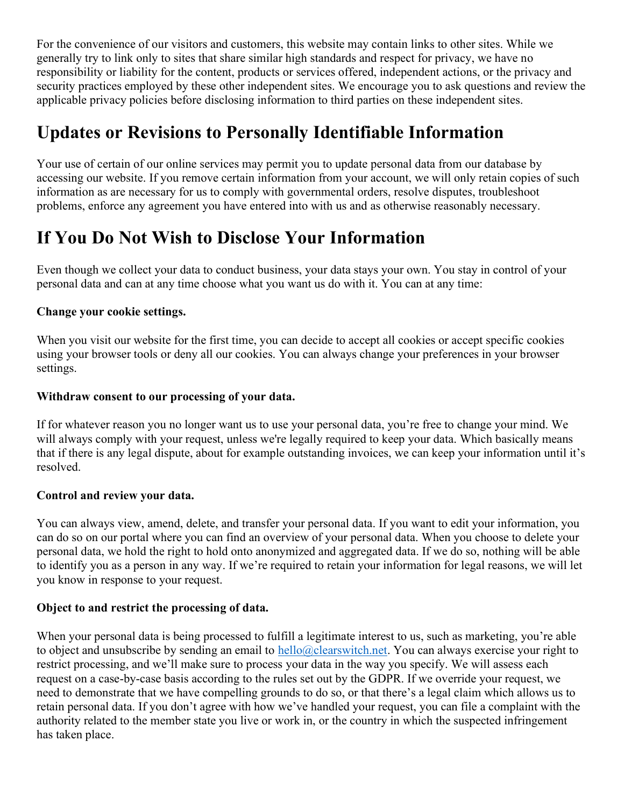For the convenience of our visitors and customers, this website may contain links to other sites. While we generally try to link only to sites that share similar high standards and respect for privacy, we have no responsibility or liability for the content, products or services offered, independent actions, or the privacy and security practices employed by these other independent sites. We encourage you to ask questions and review the applicable privacy policies before disclosing information to third parties on these independent sites.

### Updates or Revisions to Personally Identifiable Information

Your use of certain of our online services may permit you to update personal data from our database by accessing our website. If you remove certain information from your account, we will only retain copies of such information as are necessary for us to comply with governmental orders, resolve disputes, troubleshoot problems, enforce any agreement you have entered into with us and as otherwise reasonably necessary.

### If You Do Not Wish to Disclose Your Information

Even though we collect your data to conduct business, your data stays your own. You stay in control of your personal data and can at any time choose what you want us do with it. You can at any time:

#### Change your cookie settings.

When you visit our website for the first time, you can decide to accept all cookies or accept specific cookies using your browser tools or deny all our cookies. You can always change your preferences in your browser settings.

#### Withdraw consent to our processing of your data.

If for whatever reason you no longer want us to use your personal data, you're free to change your mind. We will always comply with your request, unless we're legally required to keep your data. Which basically means that if there is any legal dispute, about for example outstanding invoices, we can keep your information until it's resolved.

#### Control and review your data.

You can always view, amend, delete, and transfer your personal data. If you want to edit your information, you can do so on our portal where you can find an overview of your personal data. When you choose to delete your personal data, we hold the right to hold onto anonymized and aggregated data. If we do so, nothing will be able to identify you as a person in any way. If we're required to retain your information for legal reasons, we will let you know in response to your request.

#### Object to and restrict the processing of data.

When your personal data is being processed to fulfill a legitimate interest to us, such as marketing, you're able to object and unsubscribe by sending an email to hello@clearswitch.net. You can always exercise your right to restrict processing, and we'll make sure to process your data in the way you specify. We will assess each request on a case-by-case basis according to the rules set out by the GDPR. If we override your request, we need to demonstrate that we have compelling grounds to do so, or that there's a legal claim which allows us to retain personal data. If you don't agree with how we've handled your request, you can file a complaint with the authority related to the member state you live or work in, or the country in which the suspected infringement has taken place.